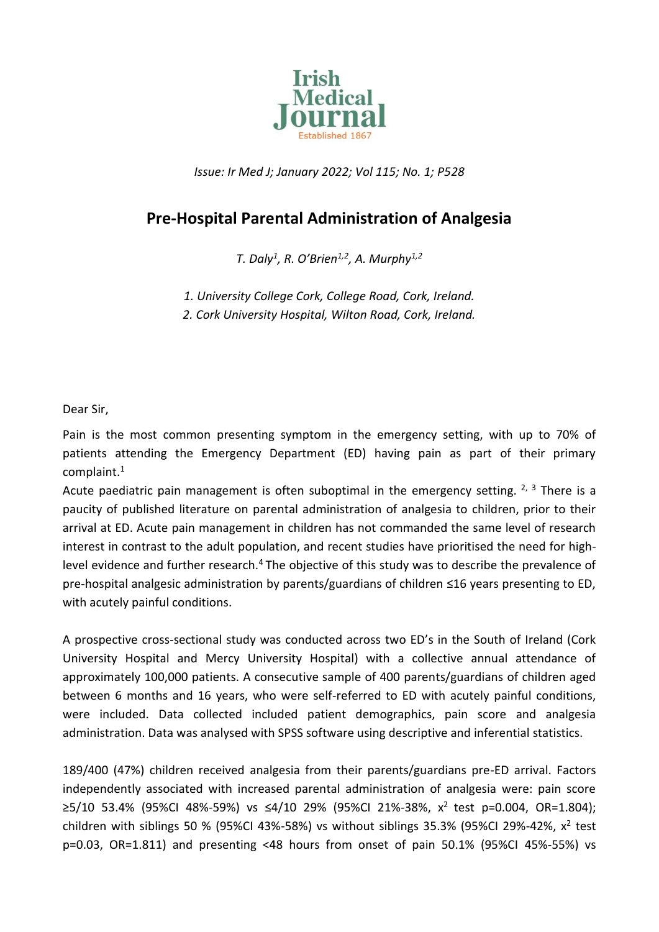

*Issue: Ir Med J; January 2022; Vol 115; No. 1; P528*

## **Pre-Hospital Parental Administration of Analgesia**

*T. Daly<sup>1</sup> , R. O'Brien1,2 , A. Murphy1,2*

*1. University College Cork, College Road, Cork, Ireland. 2. Cork University Hospital, Wilton Road, Cork, Ireland.*

Dear Sir,

Pain is the most common presenting symptom in the emergency setting, with up to 70% of patients attending the Emergency Department (ED) having pain as part of their primary complaint.<sup>1</sup>

Acute paediatric pain management is often suboptimal in the emergency setting.  $2, 3$  There is a paucity of published literature on parental administration of analgesia to children, prior to their arrival at ED. Acute pain management in children has not commanded the same level of research interest in contrast to the adult population, and recent studies have prioritised the need for highlevel evidence and further research.<sup>4</sup> The objective of this study was to describe the prevalence of pre-hospital analgesic administration by parents/guardians of children ≤16 years presenting to ED, with acutely painful conditions.

A prospective cross-sectional study was conducted across two ED's in the South of Ireland (Cork University Hospital and Mercy University Hospital) with a collective annual attendance of approximately 100,000 patients. A consecutive sample of 400 parents/guardians of children aged between 6 months and 16 years, who were self-referred to ED with acutely painful conditions, were included. Data collected included patient demographics, pain score and analgesia administration. Data was analysed with SPSS software using descriptive and inferential statistics.

189/400 (47%) children received analgesia from their parents/guardians pre-ED arrival. Factors independently associated with increased parental administration of analgesia were: pain score ≥5/10 53.4% (95%CI 48%-59%) vs ≤4/10 29% (95%CI 21%-38%, x<sup>2</sup> test p=0.004, OR=1.804); children with siblings 50 % (95%CI 43%-58%) vs without siblings 35.3% (95%CI 29%-42%,  $x^2$  test p=0.03, OR=1.811) and presenting <48 hours from onset of pain 50.1% (95%CI 45%-55%) vs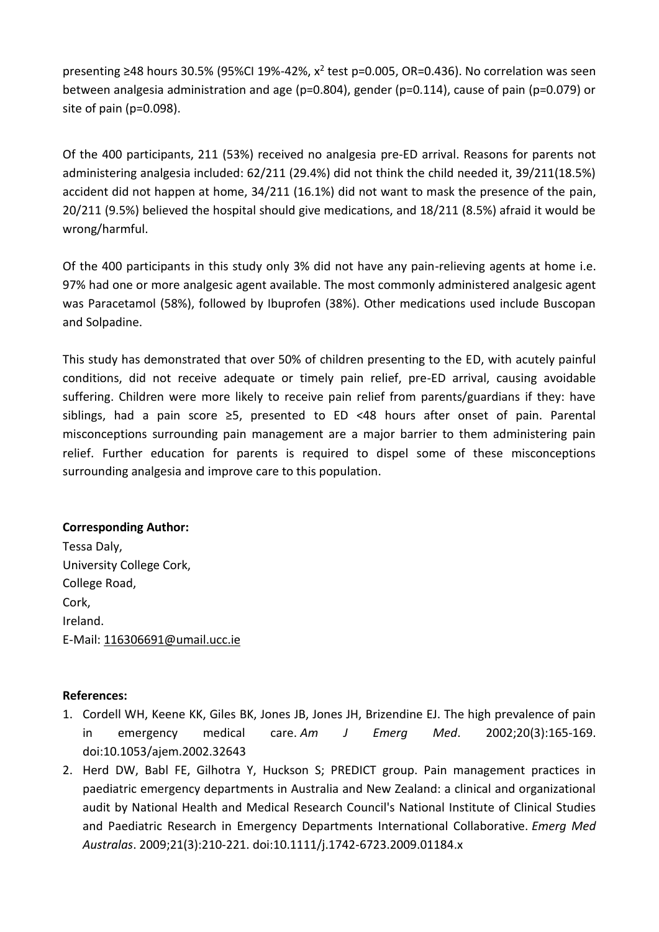presenting ≥48 hours 30.5% (95%CI 19%-42%,  $x^2$  test p=0.005, OR=0.436). No correlation was seen between analgesia administration and age (p=0.804), gender (p=0.114), cause of pain (p=0.079) or site of pain (p=0.098).

Of the 400 participants, 211 (53%) received no analgesia pre-ED arrival. Reasons for parents not administering analgesia included: 62/211 (29.4%) did not think the child needed it, 39/211(18.5%) accident did not happen at home, 34/211 (16.1%) did not want to mask the presence of the pain, 20/211 (9.5%) believed the hospital should give medications, and 18/211 (8.5%) afraid it would be wrong/harmful.

Of the 400 participants in this study only 3% did not have any pain-relieving agents at home i.e. 97% had one or more analgesic agent available. The most commonly administered analgesic agent was Paracetamol (58%), followed by Ibuprofen (38%). Other medications used include Buscopan and Solpadine.

This study has demonstrated that over 50% of children presenting to the ED, with acutely painful conditions, did not receive adequate or timely pain relief, pre-ED arrival, causing avoidable suffering. Children were more likely to receive pain relief from parents/guardians if they: have siblings, had a pain score ≥5, presented to ED <48 hours after onset of pain. Parental misconceptions surrounding pain management are a major barrier to them administering pain relief. Further education for parents is required to dispel some of these misconceptions surrounding analgesia and improve care to this population.

## **Corresponding Author:**

Tessa Daly, University College Cork, College Road, Cork, Ireland. E-Mail[: 116306691@umail.ucc.ie](mailto:116306691@umail.ucc.ie)

## **References:**

- 1. Cordell WH, Keene KK, Giles BK, Jones JB, Jones JH, Brizendine EJ. The high prevalence of pain in emergency medical care. *Am J Emerg Med*. 2002;20(3):165‐169. doi:10.1053/ajem.2002.32643
- 2. Herd DW, Babl FE, Gilhotra Y, Huckson S; PREDICT group. Pain management practices in paediatric emergency departments in Australia and New Zealand: a clinical and organizational audit by National Health and Medical Research Council's National Institute of Clinical Studies and Paediatric Research in Emergency Departments International Collaborative. *Emerg Med Australas*. 2009;21(3):210‐221. doi:10.1111/j.1742-6723.2009.01184.x